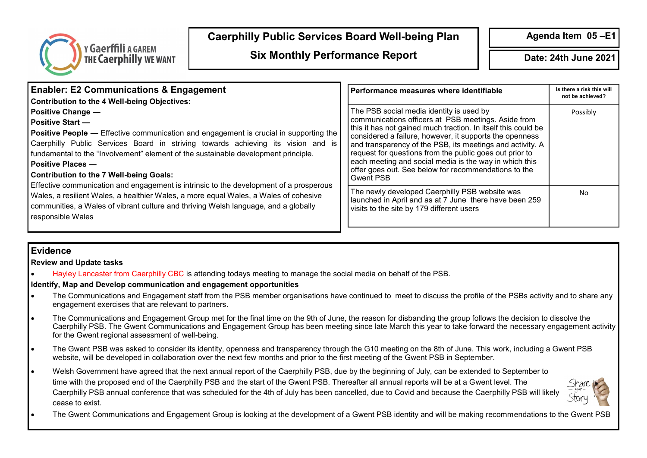

# **Caerphilly Public Services Board Well-being Plan**

**Agenda Item 05 –E1** 

# **Six Monthly Performance Report Date: 24th June 2021**

| <b>Enabler: E2 Communications &amp; Engagement</b><br><b>Contribution to the 4 Well-being Objectives:</b><br><b>Positive Change —</b><br><b>Positive Start —</b><br><b>Positive People —</b> Effective communication and engagement is crucial in supporting the<br>Caerphilly Public Services Board in striving towards achieving its vision and is<br>fundamental to the "Involvement" element of the sustainable development principle.<br><b>Positive Places -</b><br><b>Contribution to the 7 Well-being Goals:</b><br>Effective communication and engagement is intrinsic to the development of a prosperous<br>Wales, a resilient Wales, a healthier Wales, a more equal Wales, a Wales of cohesive<br>communities, a Wales of vibrant culture and thriving Welsh language, and a globally<br>responsible Wales | Performance measures where identifiable                                                                                                                                                                                                                                                                                                                                                                                                                                                   | Is there a risk this will<br>not be achieved? |
|------------------------------------------------------------------------------------------------------------------------------------------------------------------------------------------------------------------------------------------------------------------------------------------------------------------------------------------------------------------------------------------------------------------------------------------------------------------------------------------------------------------------------------------------------------------------------------------------------------------------------------------------------------------------------------------------------------------------------------------------------------------------------------------------------------------------|-------------------------------------------------------------------------------------------------------------------------------------------------------------------------------------------------------------------------------------------------------------------------------------------------------------------------------------------------------------------------------------------------------------------------------------------------------------------------------------------|-----------------------------------------------|
|                                                                                                                                                                                                                                                                                                                                                                                                                                                                                                                                                                                                                                                                                                                                                                                                                        | The PSB social media identity is used by<br>communications officers at PSB meetings. Aside from<br>this it has not gained much traction. In itself this could be<br>considered a failure, however, it supports the openness<br>and transparency of the PSB, its meetings and activity. A<br>request for questions from the public goes out prior to<br>each meeting and social media is the way in which this<br>offer goes out. See below for recommendations to the<br><b>Gwent PSB</b> | Possibly                                      |
|                                                                                                                                                                                                                                                                                                                                                                                                                                                                                                                                                                                                                                                                                                                                                                                                                        | The newly developed Caerphilly PSB website was<br>Iaunched in April and as at 7 June there have been 259<br>visits to the site by 179 different users                                                                                                                                                                                                                                                                                                                                     | No                                            |

### **Evidence**

**Review and Update tasks**

• Hayley Lancaster from Caerphilly CBC is attending todays meeting to manage the social media on behalf of the PSB.

#### **Identify, Map and Develop communication and engagement opportunities**

- The Communications and Engagement staff from the PSB member organisations have continued to meet to discuss the profile of the PSBs activity and to share any engagement exercises that are relevant to partners.
- The Communications and Engagement Group met for the final time on the 9th of June, the reason for disbanding the group follows the decision to dissolve the Caerphilly PSB. The Gwent Communications and Engagement Group has been meeting since late March this year to take forward the necessary engagement activity for the Gwent regional assessment of well-being.
- The Gwent PSB was asked to consider its identity, openness and transparency through the G10 meeting on the 8th of June. This work, including a Gwent PSB website, will be developed in collaboration over the next few months and prior to the first meeting of the Gwent PSB in September.
- Welsh Government have agreed that the next annual report of the Caerphilly PSB, due by the beginning of July, can be extended to September to time with the proposed end of the Caerphilly PSB and the start of the Gwent PSB. Thereafter all annual reports will be at a Gwent level. The Caerphilly PSB annual conference that was scheduled for the 4th of July has been cancelled, due to Covid and because the Caerphilly PSB will likely cease to exist.



• The Gwent Communications and Engagement Group is looking at the development of a Gwent PSB identity and will be making recommendations to the Gwent PSB